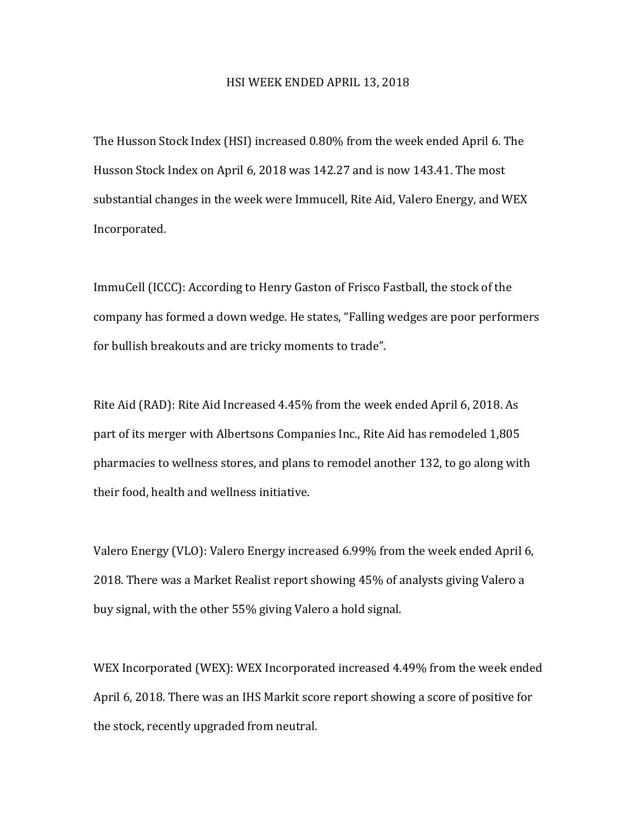## HSI WEEK ENDED APRIL 13, 2018

The Husson Stock Index (HSI) increased 0.80% from the week ended April 6. The Husson Stock Index on April 6, 2018 was 142.27 and is now 143.41. The most substantial changes in the week were Immucell, Rite Aid, Valero Energy, and WEX Incorporated. 

ImmuCell (ICCC): According to Henry Gaston of Frisco Fastball, the stock of the company has formed a down wedge. He states, "Falling wedges are poor performers for bullish breakouts and are tricky moments to trade".

Rite Aid (RAD): Rite Aid Increased 4.45% from the week ended April 6, 2018. As part of its merger with Albertsons Companies Inc., Rite Aid has remodeled 1,805 pharmacies to wellness stores, and plans to remodel another 132, to go along with their food, health and wellness initiative.

Valero Energy (VLO): Valero Energy increased 6.99% from the week ended April 6, 2018. There was a Market Realist report showing 45% of analysts giving Valero a buy signal, with the other 55% giving Valero a hold signal.

WEX Incorporated (WEX): WEX Incorporated increased 4.49% from the week ended April 6, 2018. There was an IHS Markit score report showing a score of positive for the stock, recently upgraded from neutral.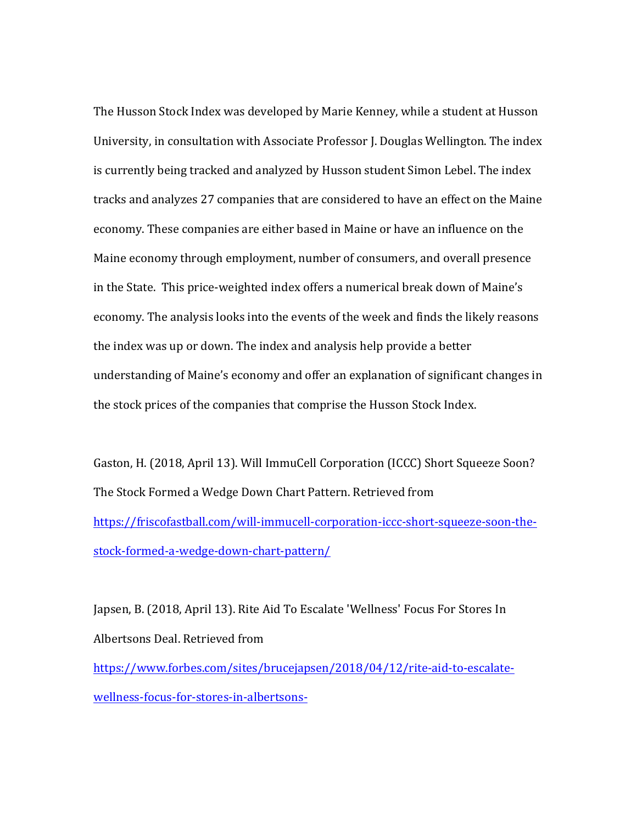The Husson Stock Index was developed by Marie Kenney, while a student at Husson University, in consultation with Associate Professor J. Douglas Wellington. The index is currently being tracked and analyzed by Husson student Simon Lebel. The index tracks and analyzes 27 companies that are considered to have an effect on the Maine economy. These companies are either based in Maine or have an influence on the Maine economy through employment, number of consumers, and overall presence in the State. This price-weighted index offers a numerical break down of Maine's economy. The analysis looks into the events of the week and finds the likely reasons the index was up or down. The index and analysis help provide a better understanding of Maine's economy and offer an explanation of significant changes in the stock prices of the companies that comprise the Husson Stock Index.

Gaston, H. (2018, April 13). Will ImmuCell Corporation (ICCC) Short Squeeze Soon? The Stock Formed a Wedge Down Chart Pattern. Retrieved from https://friscofastball.com/will-immucell-corporation-iccc-short-squeeze-soon-thestock-formed-a-wedge-down-chart-pattern/

Japsen, B. (2018, April 13). Rite Aid To Escalate 'Wellness' Focus For Stores In Albertsons Deal. Retrieved from https://www.forbes.com/sites/brucejapsen/2018/04/12/rite-aid-to-escalatewellness-focus-for-stores-in-albertsons